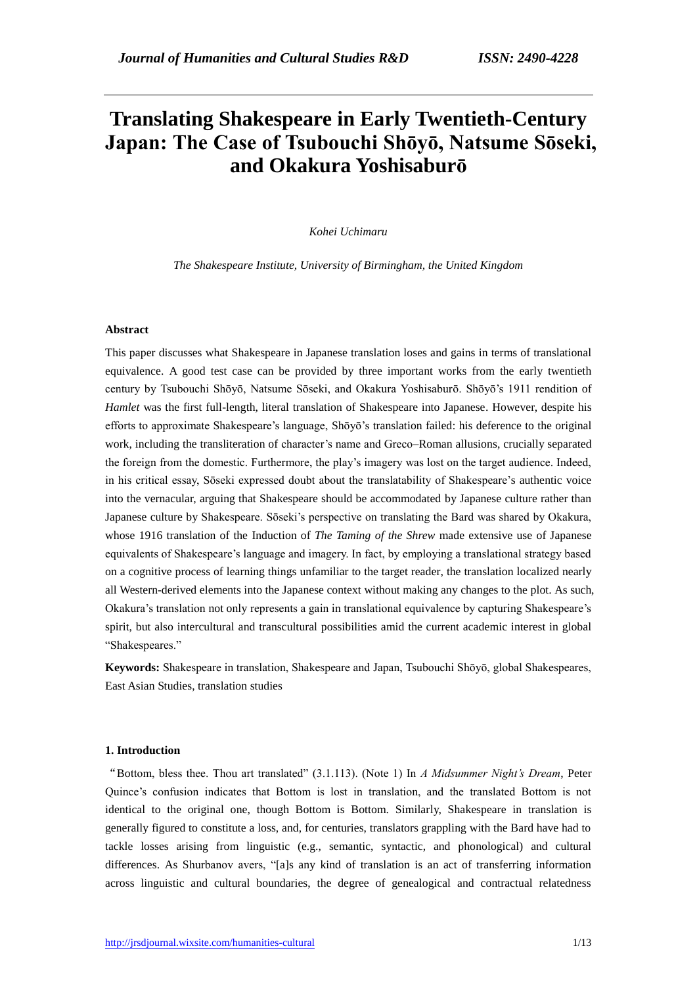# **Translating Shakespeare in Early Twentieth-Century Japan: The Case of Tsubouchi Shōyō, Natsume Sōseki, and Okakura Yoshisaburō**

## *Kohei Uchimaru*

*The Shakespeare Institute, University of Birmingham, the United Kingdom*

# **Abstract**

This paper discusses what Shakespeare in Japanese translation loses and gains in terms of translational equivalence. A good test case can be provided by three important works from the early twentieth century by Tsubouchi Shōyō, Natsume Sōseki, and Okakura Yoshisaburō. Shōyō's 1911 rendition of *Hamlet* was the first full-length, literal translation of Shakespeare into Japanese. However, despite his efforts to approximate Shakespeare's language, Shōyō's translation failed: his deference to the original work, including the transliteration of character's name and Greco–Roman allusions, crucially separated the foreign from the domestic. Furthermore, the play's imagery was lost on the target audience. Indeed, in his critical essay, Sōseki expressed doubt about the translatability of Shakespeare's authentic voice into the vernacular, arguing that Shakespeare should be accommodated by Japanese culture rather than Japanese culture by Shakespeare. Sōseki's perspective on translating the Bard was shared by Okakura, whose 1916 translation of the Induction of *The Taming of the Shrew* made extensive use of Japanese equivalents of Shakespeare's language and imagery. In fact, by employing a translational strategy based on a cognitive process of learning things unfamiliar to the target reader, the translation localized nearly all Western-derived elements into the Japanese context without making any changes to the plot. As such, Okakura's translation not only represents a gain in translational equivalence by capturing Shakespeare's spirit, but also intercultural and transcultural possibilities amid the current academic interest in global "Shakespeares."

**Keywords:** Shakespeare in translation, Shakespeare and Japan, Tsubouchi Shōyō, global Shakespeares, East Asian Studies, translation studies

# **1. Introduction**

"Bottom, bless thee. Thou art translated" (3.1.113). (Note 1) In *A Midsummer Night's Dream*, Peter Quince's confusion indicates that Bottom is lost in translation, and the translated Bottom is not identical to the original one, though Bottom is Bottom. Similarly, Shakespeare in translation is generally figured to constitute a loss, and, for centuries, translators grappling with the Bard have had to tackle losses arising from linguistic (e.g., semantic, syntactic, and phonological) and cultural differences. As Shurbanov avers, "[a]s any kind of translation is an act of transferring information across linguistic and cultural boundaries, the degree of genealogical and contractual relatedness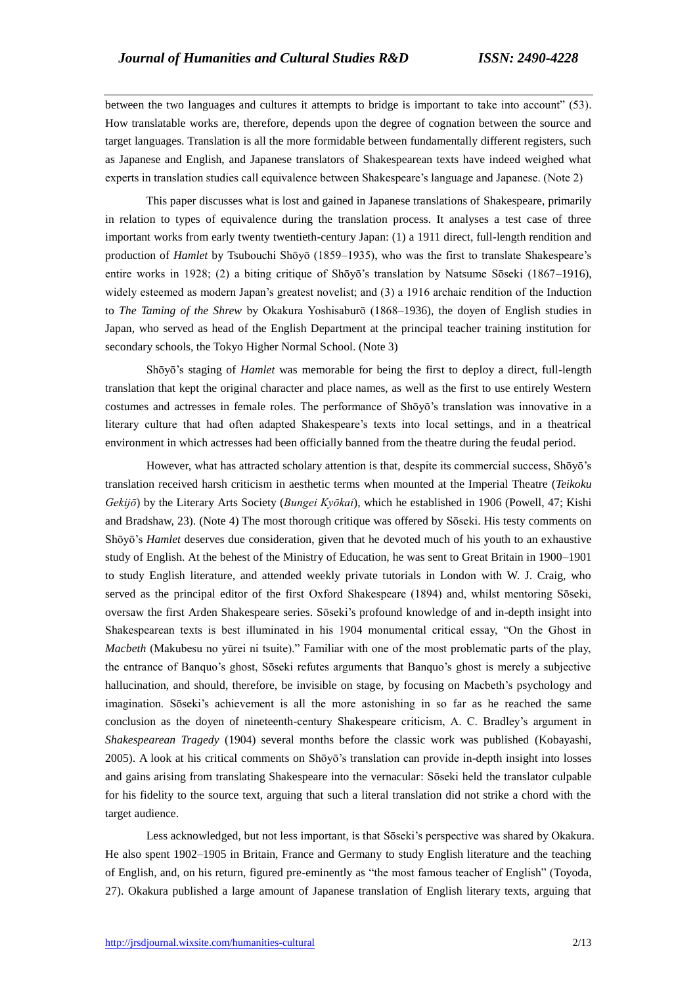between the two languages and cultures it attempts to bridge is important to take into account" (53). How translatable works are, therefore, depends upon the degree of cognation between the source and target languages. Translation is all the more formidable between fundamentally different registers, such as Japanese and English, and Japanese translators of Shakespearean texts have indeed weighed what experts in translation studies call equivalence between Shakespeare's language and Japanese. (Note 2)

 This paper discusses what is lost and gained in Japanese translations of Shakespeare, primarily in relation to types of equivalence during the translation process. It analyses a test case of three important works from early twenty twentieth-century Japan: (1) a 1911 direct, full-length rendition and production of *Hamlet* by Tsubouchi Shōyō (1859–1935), who was the first to translate Shakespeare's entire works in 1928; (2) a biting critique of Shōyō's translation by Natsume Sōseki (1867–1916), widely esteemed as modern Japan's greatest novelist; and (3) a 1916 archaic rendition of the Induction to *The Taming of the Shrew* by Okakura Yoshisaburō (1868–1936), the doyen of English studies in Japan, who served as head of the English Department at the principal teacher training institution for secondary schools, the Tokyo Higher Normal School. (Note 3)

 Shōyō's staging of *Hamlet* was memorable for being the first to deploy a direct, full-length translation that kept the original character and place names, as well as the first to use entirely Western costumes and actresses in female roles. The performance of Shōyō's translation was innovative in a literary culture that had often adapted Shakespeare's texts into local settings, and in a theatrical environment in which actresses had been officially banned from the theatre during the feudal period.

 However, what has attracted scholary attention is that, despite its commercial success, Shōyō's translation received harsh criticism in aesthetic terms when mounted at the Imperial Theatre (*Teikoku Gekijō*) by the Literary Arts Society (*Bungei Kyōkai*), which he established in 1906 (Powell, 47; Kishi and Bradshaw, 23). (Note 4) The most thorough critique was offered by Sōseki. His testy comments on Shōyō's *Hamlet* deserves due consideration, given that he devoted much of his youth to an exhaustive study of English. At the behest of the Ministry of Education, he was sent to Great Britain in 1900–1901 to study English literature, and attended weekly private tutorials in London with W. J. Craig, who served as the principal editor of the first Oxford Shakespeare (1894) and, whilst mentoring Sōseki, oversaw the first Arden Shakespeare series. Sōseki's profound knowledge of and in-depth insight into Shakespearean texts is best illuminated in his 1904 monumental critical essay, "On the Ghost in *Macbeth* (Makubesu no yūrei ni tsuite)." Familiar with one of the most problematic parts of the play, the entrance of Banquo's ghost, Sōseki refutes arguments that Banquo's ghost is merely a subjective hallucination, and should, therefore, be invisible on stage, by focusing on Macbeth's psychology and imagination. Sōseki's achievement is all the more astonishing in so far as he reached the same conclusion as the doyen of nineteenth-century Shakespeare criticism, A. C. Bradley's argument in *Shakespearean Tragedy* (1904) several months before the classic work was published (Kobayashi, 2005). A look at his critical comments on Shōyō's translation can provide in-depth insight into losses and gains arising from translating Shakespeare into the vernacular: Sōseki held the translator culpable for his fidelity to the source text, arguing that such a literal translation did not strike a chord with the target audience.

 Less acknowledged, but not less important, is that Sōseki's perspective was shared by Okakura. He also spent 1902–1905 in Britain, France and Germany to study English literature and the teaching of English, and, on his return, figured pre-eminently as "the most famous teacher of English" (Toyoda, 27). Okakura published a large amount of Japanese translation of English literary texts, arguing that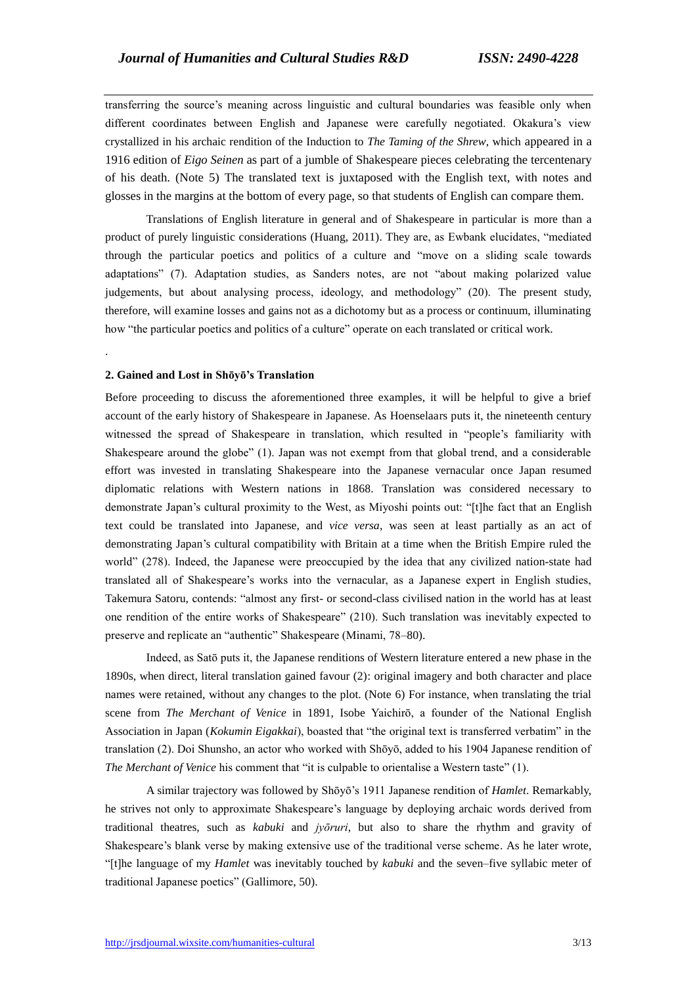transferring the source's meaning across linguistic and cultural boundaries was feasible only when different coordinates between English and Japanese were carefully negotiated. Okakura's view crystallized in his archaic rendition of the Induction to *The Taming of the Shrew*, which appeared in a 1916 edition of *Eigo Seinen* as part of a jumble of Shakespeare pieces celebrating the tercentenary of his death. (Note 5) The translated text is juxtaposed with the English text, with notes and glosses in the margins at the bottom of every page, so that students of English can compare them.

 Translations of English literature in general and of Shakespeare in particular is more than a product of purely linguistic considerations (Huang, 2011). They are, as Ewbank elucidates, "mediated through the particular poetics and politics of a culture and "move on a sliding scale towards adaptations" (7). Adaptation studies, as Sanders notes, are not "about making polarized value judgements, but about analysing process, ideology, and methodology" (20). The present study, therefore, will examine losses and gains not as a dichotomy but as a process or continuum, illuminating how "the particular poetics and politics of a culture" operate on each translated or critical work.

# **2. Gained and Lost in Shōyō's Translation**

.

Before proceeding to discuss the aforementioned three examples, it will be helpful to give a brief account of the early history of Shakespeare in Japanese. As Hoenselaars puts it, the nineteenth century witnessed the spread of Shakespeare in translation, which resulted in "people's familiarity with Shakespeare around the globe" (1). Japan was not exempt from that global trend, and a considerable effort was invested in translating Shakespeare into the Japanese vernacular once Japan resumed diplomatic relations with Western nations in 1868. Translation was considered necessary to demonstrate Japan's cultural proximity to the West, as Miyoshi points out: "[t]he fact that an English text could be translated into Japanese, and *vice versa*, was seen at least partially as an act of demonstrating Japan's cultural compatibility with Britain at a time when the British Empire ruled the world" (278). Indeed, the Japanese were preoccupied by the idea that any civilized nation-state had translated all of Shakespeare's works into the vernacular, as a Japanese expert in English studies, Takemura Satoru, contends: "almost any first- or second-class civilised nation in the world has at least one rendition of the entire works of Shakespeare" (210). Such translation was inevitably expected to preserve and replicate an "authentic" Shakespeare (Minami, 78–80).

 Indeed, as Satō puts it, the Japanese renditions of Western literature entered a new phase in the 1890s, when direct, literal translation gained favour (2): original imagery and both character and place names were retained, without any changes to the plot. (Note 6) For instance, when translating the trial scene from *The Merchant of Venice* in 1891, Isobe Yaichirō, a founder of the National English Association in Japan (*Kokumin Eigakkai*), boasted that "the original text is transferred verbatim" in the translation (2). Doi Shunsho, an actor who worked with Shōyō, added to his 1904 Japanese rendition of *The Merchant of Venice* his comment that "it is culpable to orientalise a Western taste" (1).

 A similar trajectory was followed by Shōyō's 1911 Japanese rendition of *Hamlet*. Remarkably, he strives not only to approximate Shakespeare's language by deploying archaic words derived from traditional theatres, such as *kabuki* and *jyōruri*, but also to share the rhythm and gravity of Shakespeare's blank verse by making extensive use of the traditional verse scheme. As he later wrote, "[t]he language of my *Hamlet* was inevitably touched by *kabuki* and the seven–five syllabic meter of traditional Japanese poetics" (Gallimore, 50).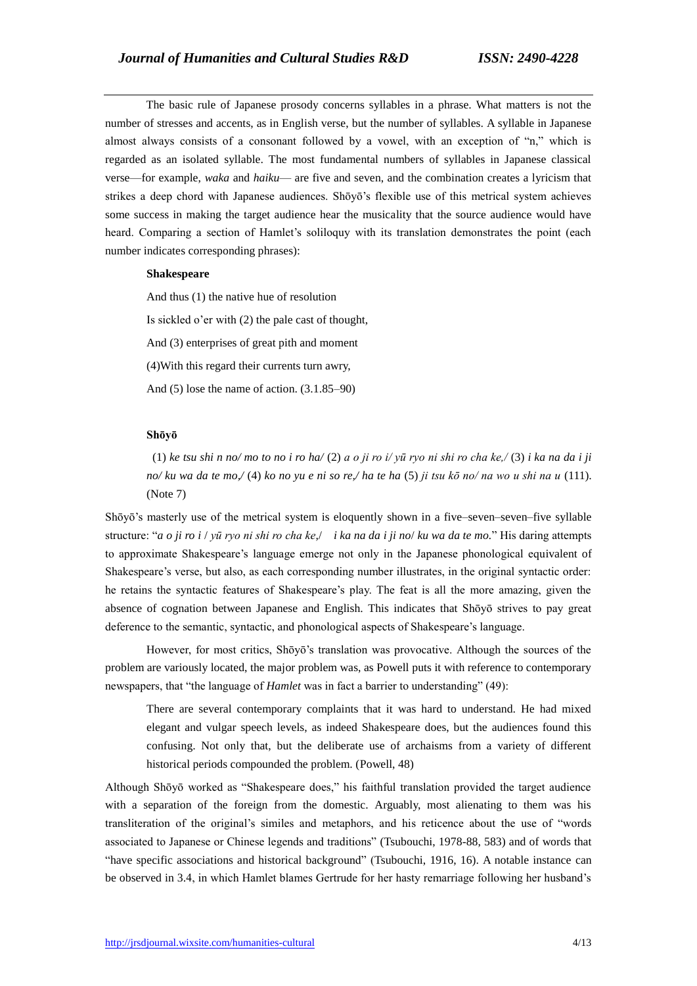The basic rule of Japanese prosody concerns syllables in a phrase. What matters is not the number of stresses and accents, as in English verse, but the number of syllables. A syllable in Japanese almost always consists of a consonant followed by a vowel, with an exception of "n," which is regarded as an isolated syllable. The most fundamental numbers of syllables in Japanese classical verse—for example, *waka* and *haiku*— are five and seven, and the combination creates a lyricism that strikes a deep chord with Japanese audiences. Shōyō's flexible use of this metrical system achieves some success in making the target audience hear the musicality that the source audience would have heard. Comparing a section of Hamlet's soliloquy with its translation demonstrates the point (each number indicates corresponding phrases):

# **Shakespeare**

And thus (1) the native hue of resolution Is sickled o'er with (2) the pale cast of thought, And (3) enterprises of great pith and moment (4)With this regard their currents turn awry, And (5) lose the name of action. (3.1.85–90)

# **Shōyō**

(1) *ke tsu shi n no/ mo to no i ro ha/* (2) *a o ji ro i/ yū ryo ni shi ro cha ke,/* (3) *i ka na da i ji no/ ku wa da te mo,/* (4) *ko no yu e ni so re,/ ha te ha* (5) *ji tsu kō no/ na wo u shi na u* (111). (Note 7)

Shōyō's masterly use of the metrical system is eloquently shown in a five–seven–seven–five syllable structure: "*a o ji ro i* / *yū ryo ni shi ro cha ke*,/ *i ka na da i ji no*/ *ku wa da te mo.*" His daring attempts to approximate Shakespeare's language emerge not only in the Japanese phonological equivalent of Shakespeare's verse, but also, as each corresponding number illustrates, in the original syntactic order: he retains the syntactic features of Shakespeare's play. The feat is all the more amazing, given the absence of cognation between Japanese and English. This indicates that Shōyō strives to pay great deference to the semantic, syntactic, and phonological aspects of Shakespeare's language.

 However, for most critics, Shōyō's translation was provocative. Although the sources of the problem are variously located, the major problem was, as Powell puts it with reference to contemporary newspapers, that "the language of *Hamlet* was in fact a barrier to understanding" (49):

There are several contemporary complaints that it was hard to understand. He had mixed elegant and vulgar speech levels, as indeed Shakespeare does, but the audiences found this confusing. Not only that, but the deliberate use of archaisms from a variety of different historical periods compounded the problem. (Powell, 48)

Although Shōyō worked as "Shakespeare does," his faithful translation provided the target audience with a separation of the foreign from the domestic. Arguably, most alienating to them was his transliteration of the original's similes and metaphors, and his reticence about the use of "words associated to Japanese or Chinese legends and traditions" (Tsubouchi, 1978-88, 583) and of words that "have specific associations and historical background" (Tsubouchi, 1916, 16). A notable instance can be observed in 3.4, in which Hamlet blames Gertrude for her hasty remarriage following her husband's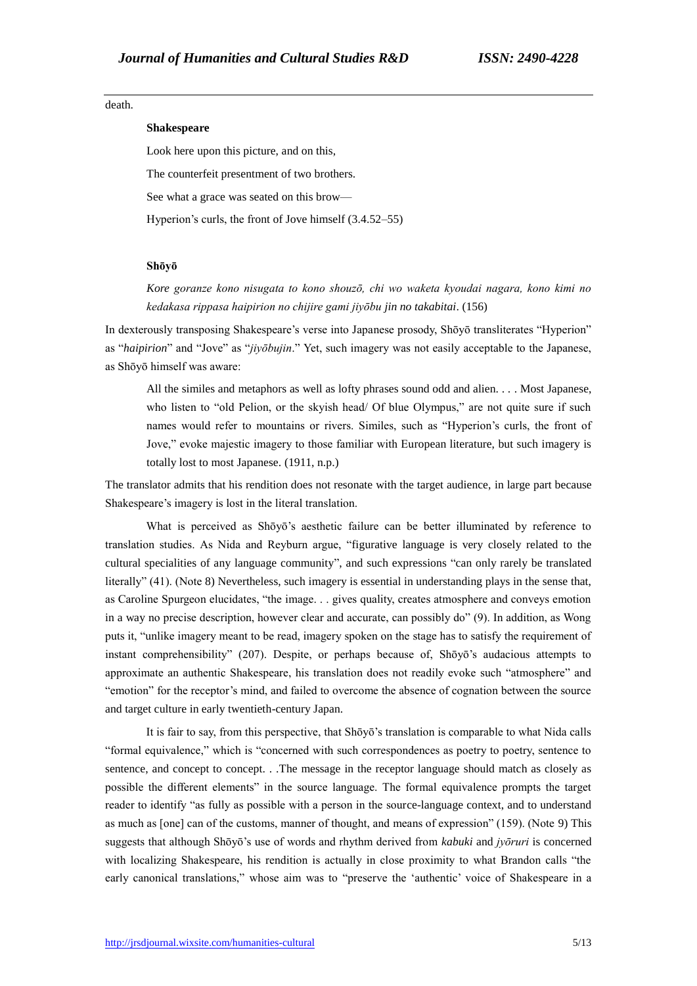# death.

# **Shakespeare**

Look here upon this picture, and on this,

The counterfeit presentment of two brothers.

See what a grace was seated on this brow—

Hyperion's curls, the front of Jove himself (3.4.52–55)

#### **Shōyō**

*Kore goranze kono nisugata to kono shouzō, chi wo waketa kyoudai nagara, kono kimi no kedakasa rippasa haipirion no chijire gami jiyōbu jin no takabitai*. (156)

In dexterously transposing Shakespeare's verse into Japanese prosody, Shōyō transliterates "Hyperion" as "*haipirion*" and "Jove" as "*jiyōbujin*." Yet, such imagery was not easily acceptable to the Japanese, as Shōyō himself was aware:

All the similes and metaphors as well as lofty phrases sound odd and alien. . . . Most Japanese, who listen to "old Pelion, or the skyish head/ Of blue Olympus," are not quite sure if such names would refer to mountains or rivers. Similes, such as "Hyperion's curls, the front of Jove," evoke majestic imagery to those familiar with European literature, but such imagery is totally lost to most Japanese. (1911, n.p.)

The translator admits that his rendition does not resonate with the target audience, in large part because Shakespeare's imagery is lost in the literal translation.

What is perceived as Shōyō's aesthetic failure can be better illuminated by reference to translation studies. As Nida and Reyburn argue, "figurative language is very closely related to the cultural specialities of any language community", and such expressions "can only rarely be translated literally" (41). (Note 8) Nevertheless, such imagery is essential in understanding plays in the sense that, as Caroline Spurgeon elucidates, "the image. . . gives quality, creates atmosphere and conveys emotion in a way no precise description, however clear and accurate, can possibly do" (9). In addition, as Wong puts it, "unlike imagery meant to be read, imagery spoken on the stage has to satisfy the requirement of instant comprehensibility" (207). Despite, or perhaps because of, Shōyō's audacious attempts to approximate an authentic Shakespeare, his translation does not readily evoke such "atmosphere" and "emotion" for the receptor's mind, and failed to overcome the absence of cognation between the source and target culture in early twentieth-century Japan.

 It is fair to say, from this perspective, that Shōyō's translation is comparable to what Nida calls "formal equivalence," which is "concerned with such correspondences as poetry to poetry, sentence to sentence, and concept to concept. . .The message in the receptor language should match as closely as possible the different elements" in the source language. The formal equivalence prompts the target reader to identify "as fully as possible with a person in the source-language context, and to understand as much as [one] can of the customs, manner of thought, and means of expression" (159). (Note 9) This suggests that although Shōyō's use of words and rhythm derived from *kabuki* and *jyōruri* is concerned with localizing Shakespeare, his rendition is actually in close proximity to what Brandon calls "the early canonical translations," whose aim was to "preserve the 'authentic' voice of Shakespeare in a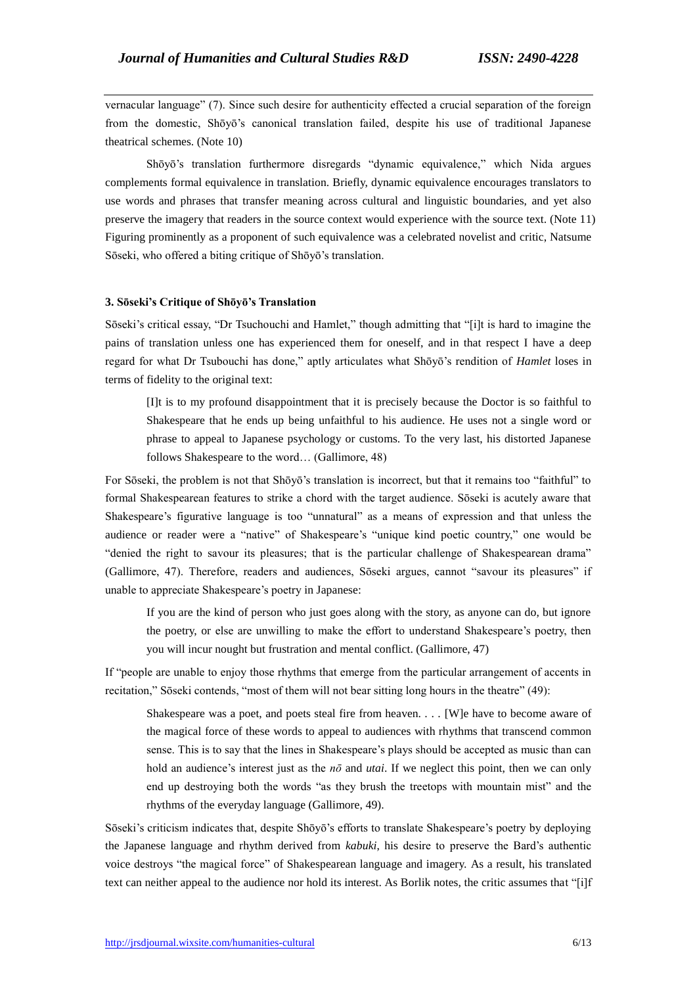vernacular language" (7). Since such desire for authenticity effected a crucial separation of the foreign from the domestic, Shōyō's canonical translation failed, despite his use of traditional Japanese theatrical schemes. (Note 10)

 Shōyō's translation furthermore disregards "dynamic equivalence," which Nida argues complements formal equivalence in translation. Briefly, dynamic equivalence encourages translators to use words and phrases that transfer meaning across cultural and linguistic boundaries, and yet also preserve the imagery that readers in the source context would experience with the source text. (Note 11) Figuring prominently as a proponent of such equivalence was a celebrated novelist and critic, Natsume Sōseki, who offered a biting critique of Shōyō's translation.

## **3. Sōseki's Critique of Shōyō's Translation**

Sōseki's critical essay, "Dr Tsuchouchi and Hamlet," though admitting that "[i]t is hard to imagine the pains of translation unless one has experienced them for oneself, and in that respect I have a deep regard for what Dr Tsubouchi has done," aptly articulates what Shōyō's rendition of *Hamlet* loses in terms of fidelity to the original text:

[I]t is to my profound disappointment that it is precisely because the Doctor is so faithful to Shakespeare that he ends up being unfaithful to his audience. He uses not a single word or phrase to appeal to Japanese psychology or customs. To the very last, his distorted Japanese follows Shakespeare to the word… (Gallimore, 48)

For Sōseki, the problem is not that Shōyō's translation is incorrect, but that it remains too "faithful" to formal Shakespearean features to strike a chord with the target audience. Sōseki is acutely aware that Shakespeare's figurative language is too "unnatural" as a means of expression and that unless the audience or reader were a "native" of Shakespeare's "unique kind poetic country," one would be "denied the right to savour its pleasures; that is the particular challenge of Shakespearean drama" (Gallimore, 47). Therefore, readers and audiences, Sōseki argues, cannot "savour its pleasures" if unable to appreciate Shakespeare's poetry in Japanese:

If you are the kind of person who just goes along with the story, as anyone can do, but ignore the poetry, or else are unwilling to make the effort to understand Shakespeare's poetry, then you will incur nought but frustration and mental conflict. (Gallimore, 47)

If "people are unable to enjoy those rhythms that emerge from the particular arrangement of accents in recitation," Sōseki contends, "most of them will not bear sitting long hours in the theatre" (49):

Shakespeare was a poet, and poets steal fire from heaven. . . . [W]e have to become aware of the magical force of these words to appeal to audiences with rhythms that transcend common sense. This is to say that the lines in Shakespeare's plays should be accepted as music than can hold an audience's interest just as the *nō* and *utai*. If we neglect this point, then we can only end up destroying both the words "as they brush the treetops with mountain mist" and the rhythms of the everyday language (Gallimore, 49).

Sōseki's criticism indicates that, despite Shōyō's efforts to translate Shakespeare's poetry by deploying the Japanese language and rhythm derived from *kabuki*, his desire to preserve the Bard's authentic voice destroys "the magical force" of Shakespearean language and imagery. As a result, his translated text can neither appeal to the audience nor hold its interest. As Borlik notes, the critic assumes that "[i]f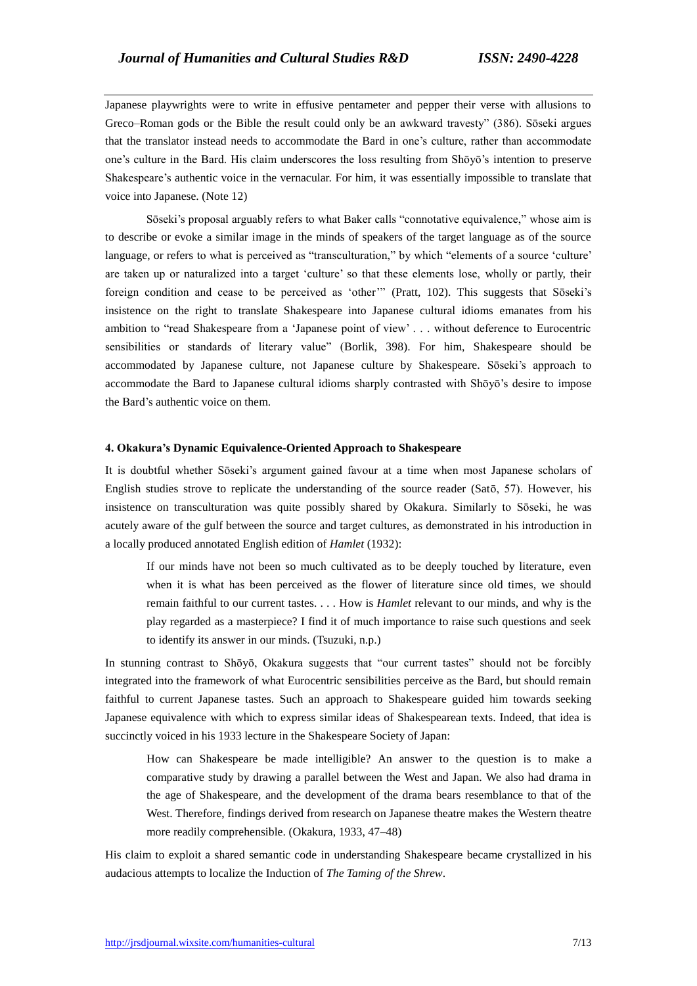Japanese playwrights were to write in effusive pentameter and pepper their verse with allusions to Greco–Roman gods or the Bible the result could only be an awkward travesty" (386). Sōseki argues that the translator instead needs to accommodate the Bard in one's culture, rather than accommodate one's culture in the Bard. His claim underscores the loss resulting from Shōyō's intention to preserve Shakespeare's authentic voice in the vernacular. For him, it was essentially impossible to translate that voice into Japanese. (Note 12)

 Sōseki's proposal arguably refers to what Baker calls "connotative equivalence," whose aim is to describe or evoke a similar image in the minds of speakers of the target language as of the source language, or refers to what is perceived as "transculturation," by which "elements of a source 'culture' are taken up or naturalized into a target 'culture' so that these elements lose, wholly or partly, their foreign condition and cease to be perceived as 'other'" (Pratt, 102). This suggests that Sōseki's insistence on the right to translate Shakespeare into Japanese cultural idioms emanates from his ambition to "read Shakespeare from a 'Japanese point of view' . . . without deference to Eurocentric sensibilities or standards of literary value" (Borlik, 398). For him, Shakespeare should be accommodated by Japanese culture, not Japanese culture by Shakespeare. Sōseki's approach to accommodate the Bard to Japanese cultural idioms sharply contrasted with Shōyō's desire to impose the Bard's authentic voice on them.

## **4. Okakura's Dynamic Equivalence-Oriented Approach to Shakespeare**

It is doubtful whether Sōseki's argument gained favour at a time when most Japanese scholars of English studies strove to replicate the understanding of the source reader (Satō, 57). However, his insistence on transculturation was quite possibly shared by Okakura. Similarly to Sōseki, he was acutely aware of the gulf between the source and target cultures, as demonstrated in his introduction in a locally produced annotated English edition of *Hamlet* (1932):

If our minds have not been so much cultivated as to be deeply touched by literature, even when it is what has been perceived as the flower of literature since old times, we should remain faithful to our current tastes. . . . How is *Hamlet* relevant to our minds, and why is the play regarded as a masterpiece? I find it of much importance to raise such questions and seek to identify its answer in our minds. (Tsuzuki, n.p.)

In stunning contrast to Shōyō, Okakura suggests that "our current tastes" should not be forcibly integrated into the framework of what Eurocentric sensibilities perceive as the Bard, but should remain faithful to current Japanese tastes. Such an approach to Shakespeare guided him towards seeking Japanese equivalence with which to express similar ideas of Shakespearean texts. Indeed, that idea is succinctly voiced in his 1933 lecture in the Shakespeare Society of Japan:

How can Shakespeare be made intelligible? An answer to the question is to make a comparative study by drawing a parallel between the West and Japan. We also had drama in the age of Shakespeare, and the development of the drama bears resemblance to that of the West. Therefore, findings derived from research on Japanese theatre makes the Western theatre more readily comprehensible. (Okakura, 1933, 47–48)

His claim to exploit a shared semantic code in understanding Shakespeare became crystallized in his audacious attempts to localize the Induction of *The Taming of the Shrew*.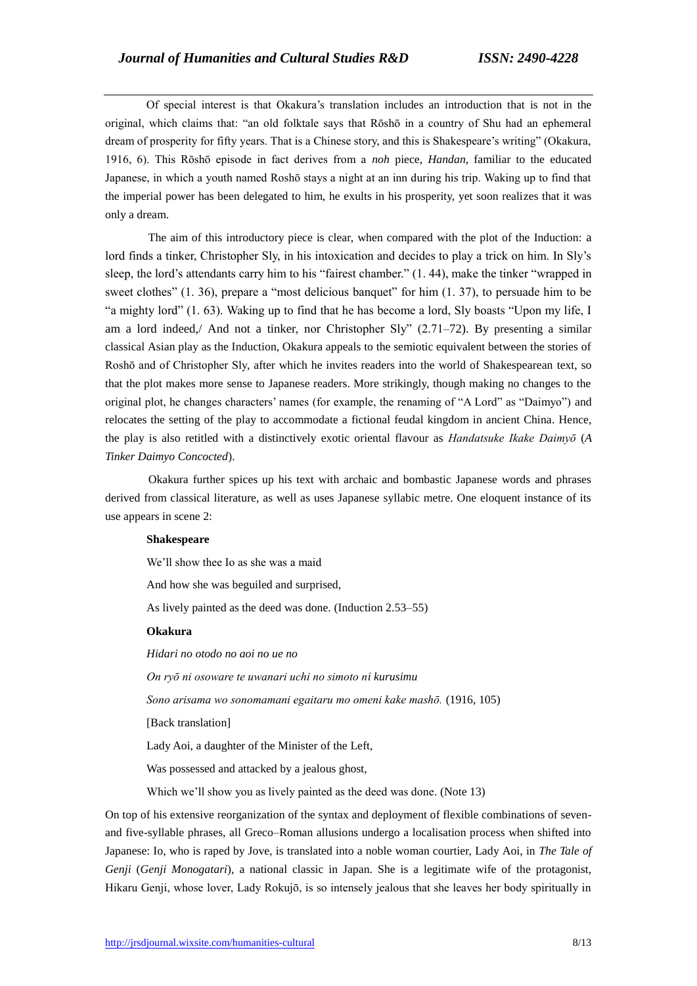Of special interest is that Okakura's translation includes an introduction that is not in the original, which claims that: "an old folktale says that Rōshō in a country of Shu had an ephemeral dream of prosperity for fifty years. That is a Chinese story, and this is Shakespeare's writing" (Okakura, 1916, 6). This Rōshō episode in fact derives from a *noh* piece, *Handan*, familiar to the educated Japanese, in which a youth named Roshō stays a night at an inn during his trip. Waking up to find that the imperial power has been delegated to him, he exults in his prosperity, yet soon realizes that it was only a dream.

 The aim of this introductory piece is clear, when compared with the plot of the Induction: a lord finds a tinker, Christopher Sly, in his intoxication and decides to play a trick on him. In Sly's sleep, the lord's attendants carry him to his "fairest chamber." (1. 44), make the tinker "wrapped in sweet clothes" (1. 36), prepare a "most delicious banquet" for him (1, 37), to persuade him to be "a mighty lord" (1. 63). Waking up to find that he has become a lord, Sly boasts "Upon my life, I am a lord indeed,/ And not a tinker, nor Christopher Sly" (2.71–72). By presenting a similar classical Asian play as the Induction, Okakura appeals to the semiotic equivalent between the stories of Roshō and of Christopher Sly, after which he invites readers into the world of Shakespearean text, so that the plot makes more sense to Japanese readers. More strikingly, though making no changes to the original plot, he changes characters' names (for example, the renaming of "A Lord" as "Daimyo") and relocates the setting of the play to accommodate a fictional feudal kingdom in ancient China. Hence, the play is also retitled with a distinctively exotic oriental flavour as *Handatsuke Ikake Daimyō* (*A Tinker Daimyo Concocted*).

 Okakura further spices up his text with archaic and bombastic Japanese words and phrases derived from classical literature, as well as uses Japanese syllabic metre. One eloquent instance of its use appears in scene 2:

# **Shakespeare**

We'll show thee Io as she was a maid And how she was beguiled and surprised, As lively painted as the deed was done. (Induction 2.53–55) **Okakura** *Hidari no otodo no aoi no ue no On ryō ni osoware te uwanari uchi no simoto ni kurusimu Sono arisama wo sonomamani egaitaru mo omeni kake mashō.* (1916, 105) [Back translation] Lady Aoi, a daughter of the Minister of the Left, Was possessed and attacked by a jealous ghost, Which we'll show you as lively painted as the deed was done. (Note 13)

On top of his extensive reorganization of the syntax and deployment of flexible combinations of sevenand five-syllable phrases, all Greco–Roman allusions undergo a localisation process when shifted into Japanese: Io, who is raped by Jove, is translated into a noble woman courtier, Lady Aoi, in *The Tale of Genji* (*Genji Monogatari*), a national classic in Japan. She is a legitimate wife of the protagonist, Hikaru Genji, whose lover, Lady Rokujō, is so intensely jealous that she leaves her body spiritually in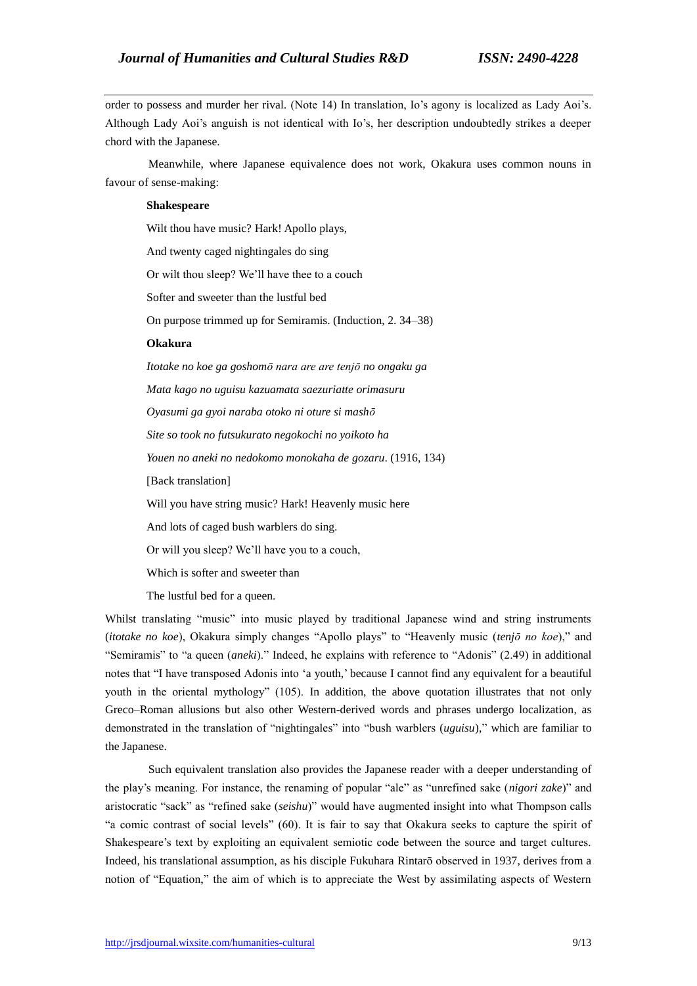order to possess and murder her rival. (Note 14) In translation, Io's agony is localized as Lady Aoi's. Although Lady Aoi's anguish is not identical with Io's, her description undoubtedly strikes a deeper chord with the Japanese.

 Meanwhile, where Japanese equivalence does not work, Okakura uses common nouns in favour of sense-making:

# **Shakespeare**

Wilt thou have music? Hark! Apollo plays,

And twenty caged nightingales do sing

Or wilt thou sleep? We'll have thee to a couch

Softer and sweeter than the lustful bed

On purpose trimmed up for Semiramis. (Induction, 2. 34–38)

# **Okakura**

*Itotake no koe ga goshomō nara are are tenjō no ongaku ga Mata kago no uguisu kazuamata saezuriatte orimasuru Oyasumi ga gyoi naraba otoko ni oture si mashō Site so took no futsukurato negokochi no yoikoto ha Youen no aneki no nedokomo monokaha de gozaru*. (1916, 134) [Back translation] Will you have string music? Hark! Heavenly music here And lots of caged bush warblers do sing. Or will you sleep? We'll have you to a couch,

Which is softer and sweeter than

The lustful bed for a queen.

Whilst translating "music" into music played by traditional Japanese wind and string instruments (*itotake no koe*), Okakura simply changes "Apollo plays" to "Heavenly music (*tenjō no koe*)," and "Semiramis" to "a queen (*aneki*)." Indeed, he explains with reference to "Adonis" (2.49) in additional notes that "I have transposed Adonis into 'a youth,' because I cannot find any equivalent for a beautiful youth in the oriental mythology" (105). In addition, the above quotation illustrates that not only Greco–Roman allusions but also other Western-derived words and phrases undergo localization, as demonstrated in the translation of "nightingales" into "bush warblers (*uguisu*)," which are familiar to the Japanese.

 Such equivalent translation also provides the Japanese reader with a deeper understanding of the play's meaning. For instance, the renaming of popular "ale" as "unrefined sake (*nigori zake*)" and aristocratic "sack" as "refined sake (*seishu*)" would have augmented insight into what Thompson calls "a comic contrast of social levels" (60). It is fair to say that Okakura seeks to capture the spirit of Shakespeare's text by exploiting an equivalent semiotic code between the source and target cultures. Indeed, his translational assumption, as his disciple Fukuhara Rintarō observed in 1937, derives from a notion of "Equation," the aim of which is to appreciate the West by assimilating aspects of Western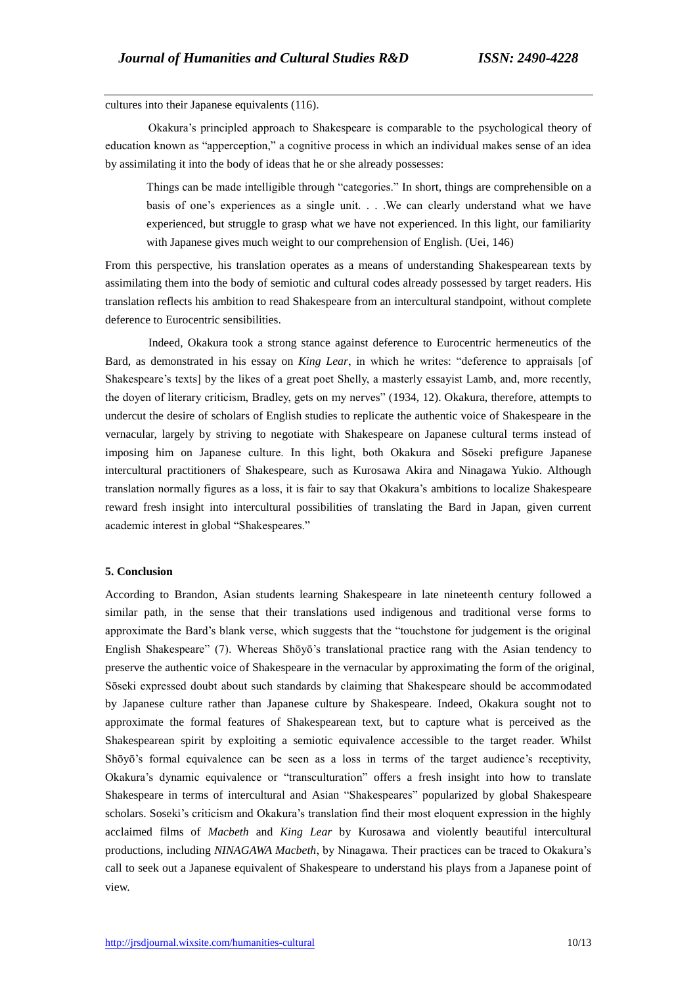cultures into their Japanese equivalents (116).

 Okakura's principled approach to Shakespeare is comparable to the psychological theory of education known as "apperception," a cognitive process in which an individual makes sense of an idea by assimilating it into the body of ideas that he or she already possesses:

Things can be made intelligible through "categories." In short, things are comprehensible on a basis of one's experiences as a single unit. . . .We can clearly understand what we have experienced, but struggle to grasp what we have not experienced. In this light, our familiarity with Japanese gives much weight to our comprehension of English. (Uei, 146)

From this perspective, his translation operates as a means of understanding Shakespearean texts by assimilating them into the body of semiotic and cultural codes already possessed by target readers. His translation reflects his ambition to read Shakespeare from an intercultural standpoint, without complete deference to Eurocentric sensibilities.

 Indeed, Okakura took a strong stance against deference to Eurocentric hermeneutics of the Bard, as demonstrated in his essay on *King Lear*, in which he writes: "deference to appraisals [of Shakespeare's texts] by the likes of a great poet Shelly, a masterly essayist Lamb, and, more recently, the doyen of literary criticism, Bradley, gets on my nerves" (1934, 12). Okakura, therefore, attempts to undercut the desire of scholars of English studies to replicate the authentic voice of Shakespeare in the vernacular, largely by striving to negotiate with Shakespeare on Japanese cultural terms instead of imposing him on Japanese culture. In this light, both Okakura and Sōseki prefigure Japanese intercultural practitioners of Shakespeare, such as Kurosawa Akira and Ninagawa Yukio. Although translation normally figures as a loss, it is fair to say that Okakura's ambitions to localize Shakespeare reward fresh insight into intercultural possibilities of translating the Bard in Japan, given current academic interest in global "Shakespeares."

# **5. Conclusion**

According to Brandon, Asian students learning Shakespeare in late nineteenth century followed a similar path, in the sense that their translations used indigenous and traditional verse forms to approximate the Bard's blank verse, which suggests that the "touchstone for judgement is the original English Shakespeare" (7). Whereas Shōyō's translational practice rang with the Asian tendency to preserve the authentic voice of Shakespeare in the vernacular by approximating the form of the original, Sōseki expressed doubt about such standards by claiming that Shakespeare should be accommodated by Japanese culture rather than Japanese culture by Shakespeare. Indeed, Okakura sought not to approximate the formal features of Shakespearean text, but to capture what is perceived as the Shakespearean spirit by exploiting a semiotic equivalence accessible to the target reader. Whilst Shōyō's formal equivalence can be seen as a loss in terms of the target audience's receptivity, Okakura's dynamic equivalence or "transculturation" offers a fresh insight into how to translate Shakespeare in terms of intercultural and Asian "Shakespeares" popularized by global Shakespeare scholars. Soseki's criticism and Okakura's translation find their most eloquent expression in the highly acclaimed films of *Macbeth* and *King Lear* by Kurosawa and violently beautiful intercultural productions, including *NINAGAWA Macbeth*, by Ninagawa. Their practices can be traced to Okakura's call to seek out a Japanese equivalent of Shakespeare to understand his plays from a Japanese point of view.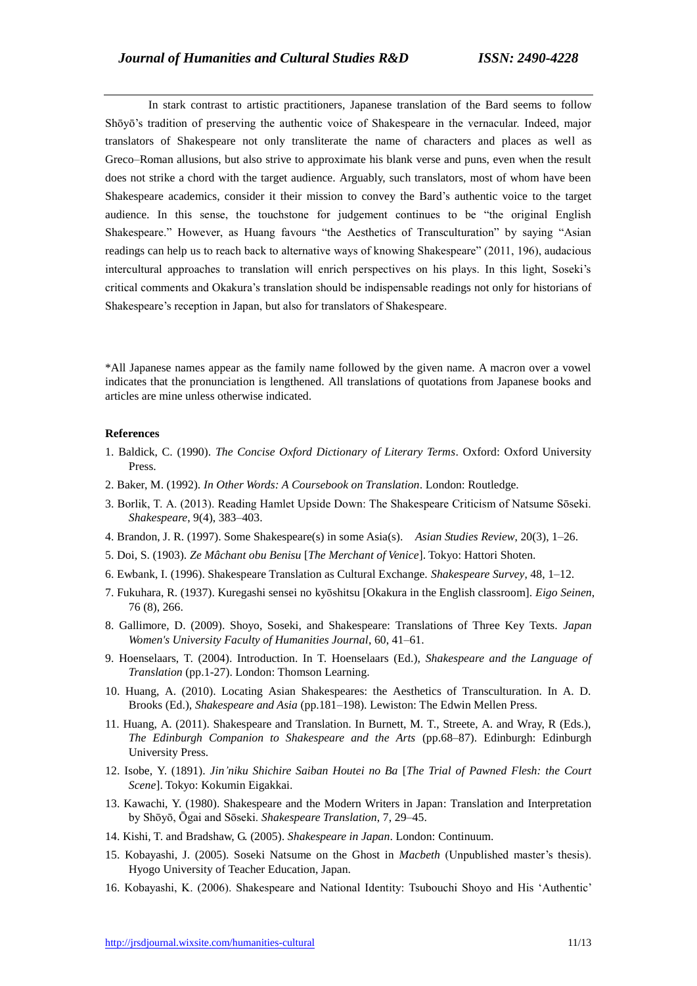In stark contrast to artistic practitioners, Japanese translation of the Bard seems to follow Shōyō's tradition of preserving the authentic voice of Shakespeare in the vernacular. Indeed, major translators of Shakespeare not only transliterate the name of characters and places as well as Greco–Roman allusions, but also strive to approximate his blank verse and puns, even when the result does not strike a chord with the target audience. Arguably, such translators, most of whom have been Shakespeare academics, consider it their mission to convey the Bard's authentic voice to the target audience. In this sense, the touchstone for judgement continues to be "the original English Shakespeare." However, as Huang favours "the Aesthetics of Transculturation" by saying "Asian readings can help us to reach back to alternative ways of knowing Shakespeare" (2011, 196), audacious intercultural approaches to translation will enrich perspectives on his plays. In this light, Soseki's critical comments and Okakura's translation should be indispensable readings not only for historians of Shakespeare's reception in Japan, but also for translators of Shakespeare.

\*All Japanese names appear as the family name followed by the given name. A macron over a vowel indicates that the pronunciation is lengthened. All translations of quotations from Japanese books and articles are mine unless otherwise indicated.

## **References**

- 1. Baldick, C. (1990). *The Concise Oxford Dictionary of Literary Terms*. Oxford: Oxford University Press.
- 2. Baker, M. (1992). *In Other Words: A Coursebook on Translation*. London: Routledge.
- 3. Borlik, T. A. (2013). Reading Hamlet Upside Down: The Shakespeare Criticism of Natsume Sōseki. *Shakespeare*, 9(4), 383–403.
- 4. Brandon, J. R. (1997). Some Shakespeare(s) in some Asia(s). *Asian Studies Review*, 20(3), 1–26.
- 5. Doi, S. (1903). *Ze Mâchant obu Benisu* [*The Merchant of Venice*]. Tokyo: Hattori Shoten.
- 6. Ewbank, I. (1996). Shakespeare Translation as Cultural Exchange. *Shakespeare Survey*, 48, 1–12.
- 7. Fukuhara, R. (1937). Kuregashi sensei no kyōshitsu [Okakura in the English classroom]. *Eigo Seinen*, 76 (8), 266.
- 8. Gallimore, D. (2009). Shoyo, Soseki, and Shakespeare: Translations of Three Key Texts. *Japan Women's University Faculty of Humanities Journal*, 60, 41–61.
- 9. Hoenselaars, T. (2004). Introduction. In T. Hoenselaars (Ed.), *Shakespeare and the Language of Translation* (pp.1-27). London: Thomson Learning.
- 10. Huang, A. (2010). Locating Asian Shakespeares: the Aesthetics of Transculturation. In A. D. Brooks (Ed.), *Shakespeare and Asia* (pp.181–198). Lewiston: The Edwin Mellen Press.
- 11. Huang, A. (2011). Shakespeare and Translation. In Burnett, M. T., Streete, A. and Wray, R (Eds.), *The Edinburgh Companion to Shakespeare and the Arts* (pp.68–87). Edinburgh: Edinburgh University Press.
- 12. Isobe, Y. (1891). *Jin'niku Shichire Saiban Houtei no Ba* [*The Trial of Pawned Flesh: the Court Scene*]. Tokyo: Kokumin Eigakkai.
- 13. Kawachi, Y. (1980). Shakespeare and the Modern Writers in Japan: Translation and Interpretation by Shōyō, Ōgai and Sōseki. *Shakespeare Translation*, 7, 29–45.
- 14. Kishi, T. and Bradshaw, G. (2005). *Shakespeare in Japan*. London: Continuum.
- 15. Kobayashi, J. (2005). Soseki Natsume on the Ghost in *Macbeth* (Unpublished master's thesis). Hyogo University of Teacher Education, Japan.
- 16. Kobayashi, K. (2006). Shakespeare and National Identity: Tsubouchi Shoyo and His 'Authentic'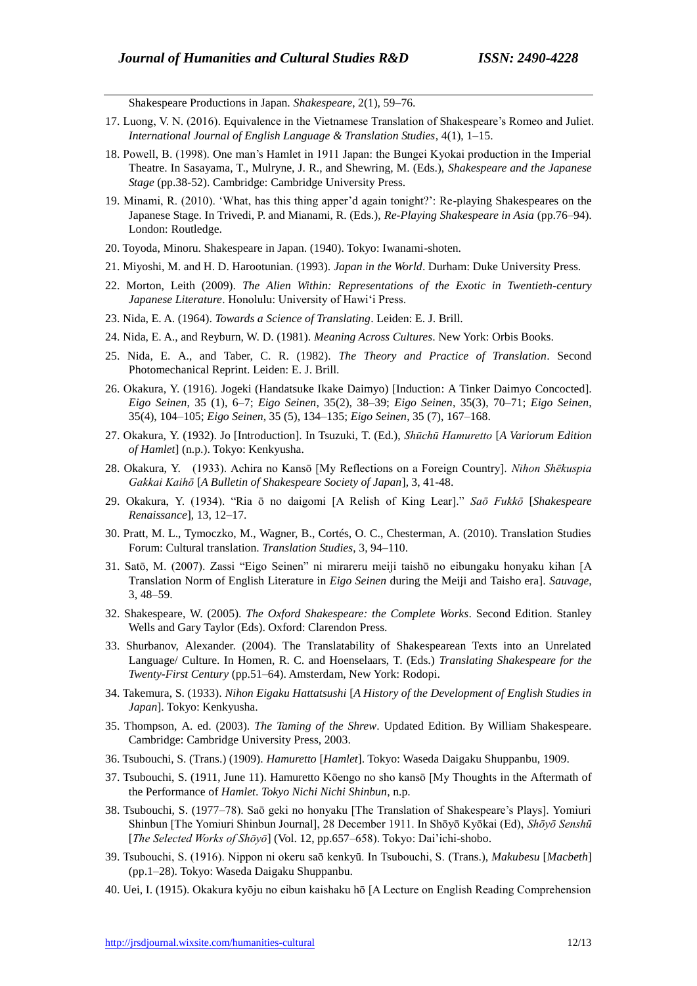Shakespeare Productions in Japan. *Shakespeare*, 2(1), 59–76.

- 17. Luong, V. N. (2016). Equivalence in the Vietnamese Translation of Shakespeare's Romeo and Juliet. *International Journal of English Language & Translation Studies*, 4(1), 1–15.
- 18. Powell, B. (1998). One man's Hamlet in 1911 Japan: the Bungei Kyokai production in the Imperial Theatre. In Sasayama, T., Mulryne, J. R., and Shewring, M. (Eds.), *Shakespeare and the Japanese Stage* (pp.38-52). Cambridge: Cambridge University Press.
- 19. Minami, R. (2010). 'What, has this thing apper'd again tonight?': Re-playing Shakespeares on the Japanese Stage. In Trivedi, P. and Mianami, R. (Eds.), *Re-Playing Shakespeare in Asia* (pp.76–94). London: Routledge.
- 20. Toyoda, Minoru. Shakespeare in Japan. (1940). Tokyo: Iwanami-shoten.
- 21. Miyoshi, M. and H. D. Harootunian. (1993). *Japan in the World*. Durham: Duke University Press.
- 22. Morton, Leith (2009). *The Alien Within: Representations of the Exotic in Twentieth-century Japanese Literature*. Honolulu: University of Hawi'i Press.
- 23. Nida, E. A. (1964). *Towards a Science of Translating*. Leiden: E. J. Brill.
- 24. Nida, E. A., and Reyburn, W. D. (1981). *Meaning Across Cultures*. New York: Orbis Books.
- 25. Nida, E. A., and Taber, C. R. (1982). *The Theory and Practice of Translation*. Second Photomechanical Reprint. Leiden: E. J. Brill.
- 26. Okakura, Y. (1916). Jogeki (Handatsuke Ikake Daimyo) [Induction: A Tinker Daimyo Concocted]. *Eigo Seinen*, 35 (1), 6–7; *Eigo Seinen*, 35(2), 38–39; *Eigo Seinen*, 35(3), 70–71; *Eigo Seinen*, 35(4), 104–105; *Eigo Seinen*, 35 (5), 134–135; *Eigo Seinen*, 35 (7), 167–168.
- 27. Okakura, Y. (1932). Jo [Introduction]. In Tsuzuki, T. (Ed.), *Shūchū Hamuretto* [*A Variorum Edition of Hamlet*] (n.p.). Tokyo: Kenkyusha.
- 28. Okakura, Y. (1933). Achira no Kansō [My Reflections on a Foreign Country]. *Nihon Shēkuspia Gakkai Kaihō* [*A Bulletin of Shakespeare Society of Japan*], 3, 41-48.
- 29. Okakura, Y. (1934). "Ria ō no daigomi [A Relish of King Lear]." *Saō Fukkō* [*Shakespeare Renaissance*], 13, 12–17.
- 30. Pratt, M. L., Tymoczko, M., Wagner, B., Cortés, O. C., Chesterman, A. (2010). Translation Studies Forum: Cultural translation. *Translation Studies*, 3, 94–110.
- 31. Satō, M. (2007). Zassi "Eigo Seinen" ni mirareru meiji taishō no eibungaku honyaku kihan [A Translation Norm of English Literature in *Eigo Seinen* during the Meiji and Taisho era]. *Sauvage*, 3, 48–59.
- 32. Shakespeare, W. (2005). *The Oxford Shakespeare: the Complete Works*. Second Edition. Stanley Wells and Gary Taylor (Eds). Oxford: Clarendon Press.
- 33. Shurbanov, Alexander. (2004). The Translatability of Shakespearean Texts into an Unrelated Language/ Culture. In Homen, R. C. and Hoenselaars, T. (Eds.) *Translating Shakespeare for the Twenty-First Century* (pp.51–64). Amsterdam, New York: Rodopi.
- 34. Takemura, S. (1933). *Nihon Eigaku Hattatsushi* [*A History of the Development of English Studies in Japan*]. Tokyo: Kenkyusha.
- 35. Thompson, A. ed. (2003). *The Taming of the Shrew*. Updated Edition. By William Shakespeare. Cambridge: Cambridge University Press, 2003.
- 36. Tsubouchi, S. (Trans.) (1909). *Hamuretto* [*Hamlet*]. Tokyo: Waseda Daigaku Shuppanbu, 1909.
- 37. Tsubouchi, S. (1911, June 11). Hamuretto Kōengo no sho kansō [My Thoughts in the Aftermath of the Performance of *Hamlet*. *Tokyo Nichi Nichi Shinbun*, n.p.
- 38. Tsubouchi, S. (1977–78). Saō geki no honyaku [The Translation of Shakespeare's Plays]. Yomiuri Shinbun [The Yomiuri Shinbun Journal], 28 December 1911. In Shōyō Kyōkai (Ed), *Shōyō Senshū* [*The Selected Works of Shōyō*] (Vol. 12, pp.657–658). Tokyo: Dai'ichi-shobo.
- 39. Tsubouchi, S. (1916). Nippon ni okeru saō kenkyū. In Tsubouchi, S. (Trans.), *Makubesu* [*Macbeth*] (pp.1–28). Tokyo: Waseda Daigaku Shuppanbu.
- 40. Uei, I. (1915). Okakura kyōju no eibun kaishaku hō [A Lecture on English Reading Comprehension